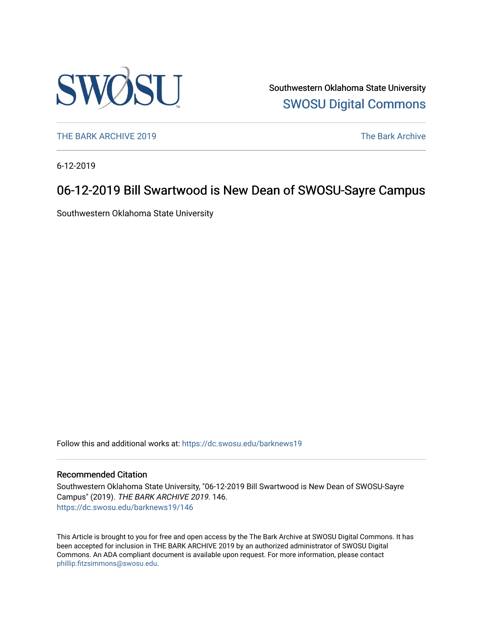

Southwestern Oklahoma State University [SWOSU Digital Commons](https://dc.swosu.edu/) 

[THE BARK ARCHIVE 2019](https://dc.swosu.edu/barknews19) The Bark Archive

6-12-2019

### 06-12-2019 Bill Swartwood is New Dean of SWOSU-Sayre Campus

Southwestern Oklahoma State University

Follow this and additional works at: [https://dc.swosu.edu/barknews19](https://dc.swosu.edu/barknews19?utm_source=dc.swosu.edu%2Fbarknews19%2F146&utm_medium=PDF&utm_campaign=PDFCoverPages)

#### Recommended Citation

Southwestern Oklahoma State University, "06-12-2019 Bill Swartwood is New Dean of SWOSU-Sayre Campus" (2019). THE BARK ARCHIVE 2019. 146. [https://dc.swosu.edu/barknews19/146](https://dc.swosu.edu/barknews19/146?utm_source=dc.swosu.edu%2Fbarknews19%2F146&utm_medium=PDF&utm_campaign=PDFCoverPages)

This Article is brought to you for free and open access by the The Bark Archive at SWOSU Digital Commons. It has been accepted for inclusion in THE BARK ARCHIVE 2019 by an authorized administrator of SWOSU Digital Commons. An ADA compliant document is available upon request. For more information, please contact [phillip.fitzsimmons@swosu.edu](mailto:phillip.fitzsimmons@swosu.edu).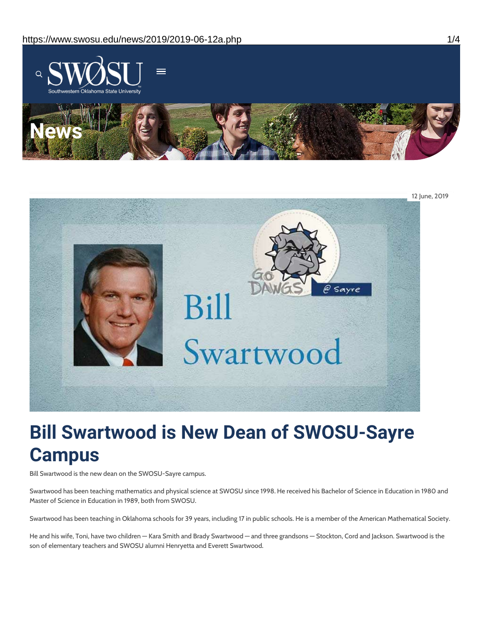



# **Bill Swartwood is New Dean of SWOSU-Sayre Campus**

Bill Swartwood is the new dean on the SWOSU-Sayre campus.

Swartwood has been teaching mathematics and physical science at SWOSU since 1998. He received his Bachelor of Science in Education in 1980 and Master of Science in Education in 1989, both from SWOSU.

Swartwood has been teaching in Oklahoma schools for 39 years, including 17 in public schools. He is a member of the American Mathematical Society.

He and his wife, Toni, have two children — Kara Smith and Brady Swartwood — and three grandsons — Stockton, Cord and Jackson. Swartwood is the son of elementary teachers and SWOSU alumni Henryetta and Everett Swartwood.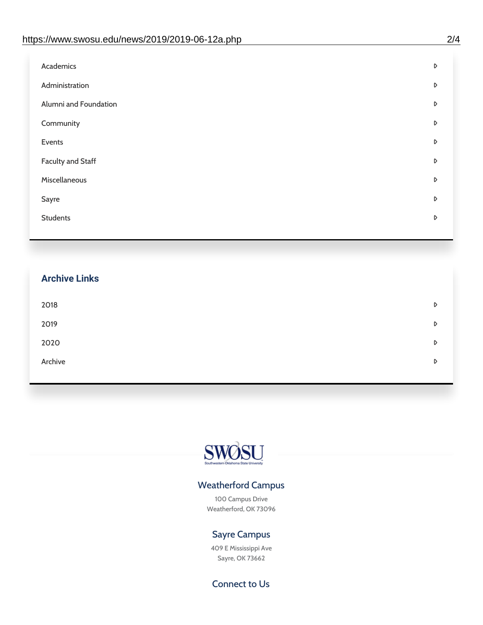| Administration<br>D<br>Alumni and Foundation<br>D<br>Community<br>D<br>Events<br>D | Academics | D |
|------------------------------------------------------------------------------------|-----------|---|
|                                                                                    |           |   |
|                                                                                    |           |   |
|                                                                                    |           |   |
|                                                                                    |           |   |
| <b>Faculty and Staff</b><br>D                                                      |           |   |
| Miscellaneous<br>D                                                                 |           |   |
| Sayre<br>D                                                                         |           |   |
| <b>Students</b><br>D                                                               |           |   |

## **Archive Links**  $2018$  $2019$ [2020](https://www.swosu.edu/news/2020/index.php)  $\bullet$ [Archive](https://dc.swosu.edu/bark/) **Archive Archive Archive Archive Archive** Archive Archive Archive Archive Archive Archive Archive Archive



### Weatherford Campus

100 Campus Drive Weatherford, OK 73096

### Sayre Campus

409 E Mississippi Ave Sayre, OK 73662

Connect to Us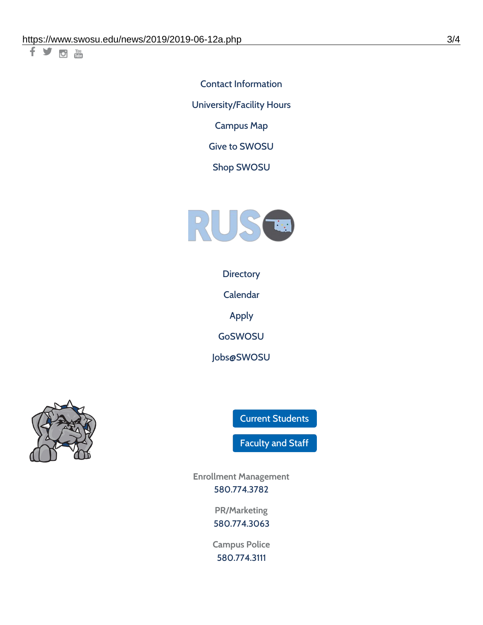千岁回调

Contact [Information](https://www.swosu.edu/about/contact.php) [University/Facility](https://www.swosu.edu/about/operating-hours.php) Hours [Campus](https://map.concept3d.com/?id=768#!ct/10964,10214,10213,10212,10205,10204,10203,10202,10136,10129,10128,0,31226,10130,10201,10641,0) Map

Give to [SWOSU](https://standingfirmly.com/donate)

Shop [SWOSU](https://shopswosu.merchorders.com/)



**[Directory](https://www.swosu.edu/directory/index.php)** 

[Calendar](https://eventpublisher.dudesolutions.com/swosu/)

[Apply](https://www.swosu.edu/admissions/apply-to-swosu.php)

[GoSWOSU](https://qlsso.quicklaunchsso.com/home/1267)

[Jobs@SWOSU](https://swosu.csod.com/ux/ats/careersite/1/home?c=swosu)



Current [Students](https://bulldog.swosu.edu/index.php)

[Faculty](https://bulldog.swosu.edu/faculty-staff/index.php) and Staff

**Enrollment Management** [580.774.3782](tel:5807743782)

> **PR/Marketing** [580.774.3063](tel:5807743063)

**Campus Police** [580.774.3111](tel:5807743111)